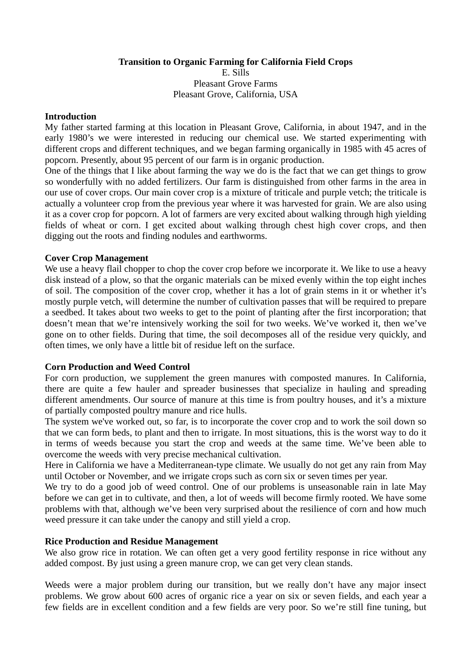**Transition to Organic Farming for California Field Crops** 

E. Sills Pleasant Grove Farms Pleasant Grove, California, USA

### **Introduction**

My father started farming at this location in Pleasant Grove, California, in about 1947, and in the early 1980's we were interested in reducing our chemical use. We started experimenting with different crops and different techniques, and we began farming organically in 1985 with 45 acres of popcorn. Presently, about 95 percent of our farm is in organic production.

One of the things that I like about farming the way we do is the fact that we can get things to grow so wonderfully with no added fertilizers. Our farm is distinguished from other farms in the area in our use of cover crops. Our main cover crop is a mixture of triticale and purple vetch; the triticale is actually a volunteer crop from the previous year where it was harvested for grain. We are also using it as a cover crop for popcorn. A lot of farmers are very excited about walking through high yielding fields of wheat or corn. I get excited about walking through chest high cover crops, and then digging out the roots and finding nodules and earthworms.

# **Cover Crop Management**

We use a heavy flail chopper to chop the cover crop before we incorporate it. We like to use a heavy disk instead of a plow, so that the organic materials can be mixed evenly within the top eight inches of soil. The composition of the cover crop, whether it has a lot of grain stems in it or whether it's mostly purple vetch, will determine the number of cultivation passes that will be required to prepare a seedbed. It takes about two weeks to get to the point of planting after the first incorporation; that doesn't mean that we're intensively working the soil for two weeks. We've worked it, then we've gone on to other fields. During that time, the soil decomposes all of the residue very quickly, and often times, we only have a little bit of residue left on the surface.

# **Corn Production and Weed Control**

For corn production, we supplement the green manures with composted manures. In California, there are quite a few hauler and spreader businesses that specialize in hauling and spreading different amendments. Our source of manure at this time is from poultry houses, and it's a mixture of partially composted poultry manure and rice hulls.

The system we've worked out, so far, is to incorporate the cover crop and to work the soil down so that we can form beds, to plant and then to irrigate. In most situations, this is the worst way to do it in terms of weeds because you start the crop and weeds at the same time. We've been able to overcome the weeds with very precise mechanical cultivation.

Here in California we have a Mediterranean-type climate. We usually do not get any rain from May until October or November, and we irrigate crops such as corn six or seven times per year.

We try to do a good job of weed control. One of our problems is unseasonable rain in late May before we can get in to cultivate, and then, a lot of weeds will become firmly rooted. We have some problems with that, although we've been very surprised about the resilience of corn and how much weed pressure it can take under the canopy and still yield a crop.

### **Rice Production and Residue Management**

We also grow rice in rotation. We can often get a very good fertility response in rice without any added compost. By just using a green manure crop, we can get very clean stands.

Weeds were a major problem during our transition, but we really don't have any major insect problems. We grow about 600 acres of organic rice a year on six or seven fields, and each year a few fields are in excellent condition and a few fields are very poor. So we're still fine tuning, but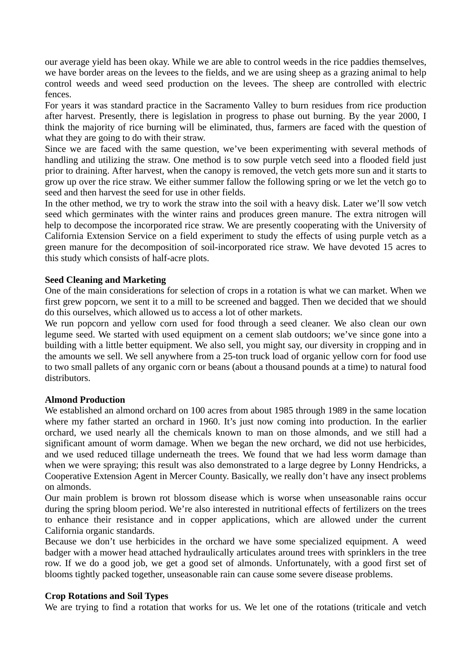our average yield has been okay. While we are able to control weeds in the rice paddies themselves, we have border areas on the levees to the fields, and we are using sheep as a grazing animal to help control weeds and weed seed production on the levees. The sheep are controlled with electric fences.

For years it was standard practice in the Sacramento Valley to burn residues from rice production after harvest. Presently, there is legislation in progress to phase out burning. By the year 2000, I think the majority of rice burning will be eliminated, thus, farmers are faced with the question of what they are going to do with their straw.

Since we are faced with the same question, we've been experimenting with several methods of handling and utilizing the straw. One method is to sow purple vetch seed into a flooded field just prior to draining. After harvest, when the canopy is removed, the vetch gets more sun and it starts to grow up over the rice straw. We either summer fallow the following spring or we let the vetch go to seed and then harvest the seed for use in other fields.

In the other method, we try to work the straw into the soil with a heavy disk. Later we'll sow vetch seed which germinates with the winter rains and produces green manure. The extra nitrogen will help to decompose the incorporated rice straw. We are presently cooperating with the University of California Extension Service on a field experiment to study the effects of using purple vetch as a green manure for the decomposition of soil-incorporated rice straw. We have devoted 15 acres to this study which consists of half-acre plots.

## **Seed Cleaning and Marketing**

One of the main considerations for selection of crops in a rotation is what we can market. When we first grew popcorn, we sent it to a mill to be screened and bagged. Then we decided that we should do this ourselves, which allowed us to access a lot of other markets.

We run popcorn and yellow corn used for food through a seed cleaner. We also clean our own legume seed. We started with used equipment on a cement slab outdoors; we've since gone into a building with a little better equipment. We also sell, you might say, our diversity in cropping and in the amounts we sell. We sell anywhere from a 25-ton truck load of organic yellow corn for food use to two small pallets of any organic corn or beans (about a thousand pounds at a time) to natural food distributors.

# **Almond Production**

We established an almond orchard on 100 acres from about 1985 through 1989 in the same location where my father started an orchard in 1960. It's just now coming into production. In the earlier orchard, we used nearly all the chemicals known to man on those almonds, and we still had a significant amount of worm damage. When we began the new orchard, we did not use herbicides, and we used reduced tillage underneath the trees. We found that we had less worm damage than when we were spraying; this result was also demonstrated to a large degree by Lonny Hendricks, a Cooperative Extension Agent in Mercer County. Basically, we really don't have any insect problems on almonds.

Our main problem is brown rot blossom disease which is worse when unseasonable rains occur during the spring bloom period. We're also interested in nutritional effects of fertilizers on the trees to enhance their resistance and in copper applications, which are allowed under the current California organic standards.

Because we don't use herbicides in the orchard we have some specialized equipment. A weed badger with a mower head attached hydraulically articulates around trees with sprinklers in the tree row. If we do a good job, we get a good set of almonds. Unfortunately, with a good first set of blooms tightly packed together, unseasonable rain can cause some severe disease problems.

### **Crop Rotations and Soil Types**

We are trying to find a rotation that works for us. We let one of the rotations (triticale and vetch